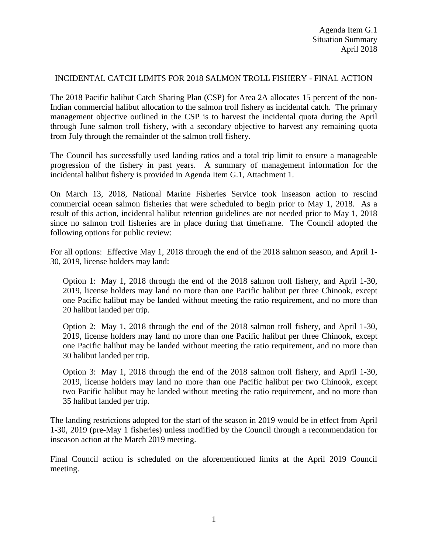### INCIDENTAL CATCH LIMITS FOR 2018 SALMON TROLL FISHERY - FINAL ACTION

The 2018 Pacific halibut Catch Sharing Plan (CSP) for Area 2A allocates 15 percent of the non-Indian commercial halibut allocation to the salmon troll fishery as incidental catch. The primary management objective outlined in the CSP is to harvest the incidental quota during the April through June salmon troll fishery, with a secondary objective to harvest any remaining quota from July through the remainder of the salmon troll fishery.

The Council has successfully used landing ratios and a total trip limit to ensure a manageable progression of the fishery in past years. A summary of management information for the incidental halibut fishery is provided in Agenda Item G.1, Attachment 1.

On March 13, 2018, National Marine Fisheries Service took inseason action to rescind commercial ocean salmon fisheries that were scheduled to begin prior to May 1, 2018. As a result of this action, incidental halibut retention guidelines are not needed prior to May 1, 2018 since no salmon troll fisheries are in place during that timeframe. The Council adopted the following options for public review:

For all options: Effective May 1, 2018 through the end of the 2018 salmon season, and April 1- 30, 2019, license holders may land:

Option 1: May 1, 2018 through the end of the 2018 salmon troll fishery, and April 1-30, 2019, license holders may land no more than one Pacific halibut per three Chinook, except one Pacific halibut may be landed without meeting the ratio requirement, and no more than 20 halibut landed per trip.

Option 2: May 1, 2018 through the end of the 2018 salmon troll fishery, and April 1-30, 2019, license holders may land no more than one Pacific halibut per three Chinook, except one Pacific halibut may be landed without meeting the ratio requirement, and no more than 30 halibut landed per trip.

Option 3: May 1, 2018 through the end of the 2018 salmon troll fishery, and April 1-30, 2019, license holders may land no more than one Pacific halibut per two Chinook, except two Pacific halibut may be landed without meeting the ratio requirement, and no more than 35 halibut landed per trip.

The landing restrictions adopted for the start of the season in 2019 would be in effect from April 1-30, 2019 (pre-May 1 fisheries) unless modified by the Council through a recommendation for inseason action at the March 2019 meeting.

Final Council action is scheduled on the aforementioned limits at the April 2019 Council meeting.